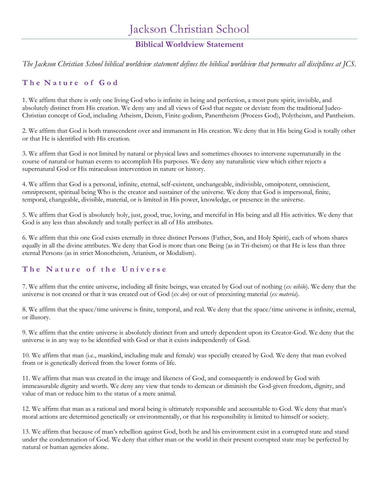# Jackson Christian School

# **Biblical Worldview Statement**

*The Jackson Christian School biblical worldview statement defines the biblical worldview that permeates all disciplines at JCS.*

## **T h e N a t u r e o f G o d**

1. We affirm that there is only one living God who is infinite in being and perfection, a most pure spirit, invisible, and absolutely distinct from His creation. We deny any and all views of God that negate or deviate from the traditional Judeo-Christian concept of God, including Atheism, Deism, Finite-godism, Panentheism (Process God), Polytheism, and Pantheism.

2. We affirm that God is both transcendent over and immanent in His creation. We deny that in His being God is totally other or that He is identified with His creation.

3. We affirm that God is not limited by natural or physical laws and sometimes chooses to intervene supernaturally in the course of natural or human events to accomplish His purposes. We deny any naturalistic view which either rejects a supernatural God or His miraculous intervention in nature or history.

4. We affirm that God is a personal, infinite, eternal, self-existent, unchangeable, indivisible, omnipotent, omniscient, omnipresent, spiritual being Who is the creator and sustainer of the universe. We deny that God is impersonal, finite, temporal, changeable, divisible, material, or is limited in His power, knowledge, or presence in the universe.

5. We affirm that God is absolutely holy, just, good, true, loving, and merciful in His being and all His activities. We deny that God is any less than absolutely and totally perfect in all of His attributes.

6. We affirm that this one God exists eternally in three distinct Persons (Father, Son, and Holy Spirit), each of whom shares equally in all the divine attributes. We deny that God is more than one Being (as in Tri-theism) or that He is less than three eternal Persons (as in strict Monotheism, Arianism, or Modalism).

## **T h e N a t u r e o f t h e U n i v e r s e**

7. We affirm that the entire universe, including all finite beings, was created by God out of nothing (*ex nihilo*). We deny that the universe is not created or that it was created out of God (*ex deo*) or out of preexisting material (*ex materia*).

8. We affirm that the space/time universe is finite, temporal, and real. We deny that the space/time universe is infinite, eternal, or illusory.

9. We affirm that the entire universe is absolutely distinct from and utterly dependent upon its Creator-God. We deny that the universe is in any way to be identified with God or that it exists independently of God.

10. We affirm that man (i.e., mankind, including male and female) was specially created by God. We deny that man evolved from or is genetically derived from the lower forms of life.

11. We affirm that man was created in the image and likeness of God, and consequently is endowed by God with immeasurable dignity and worth. We deny any view that tends to demean or diminish the God-given freedom, dignity, and value of man or reduce him to the status of a mere animal.

12. We affirm that man as a rational and moral being is ultimately responsible and accountable to God. We deny that man's moral actions are determined genetically or environmentally, or that his responsibility is limited to himself or society.

13. We affirm that because of man's rebellion against God, both he and his environment exist in a corrupted state and stand under the condemnation of God. We deny that either man or the world in their present corrupted state may be perfected by natural or human agencies alone.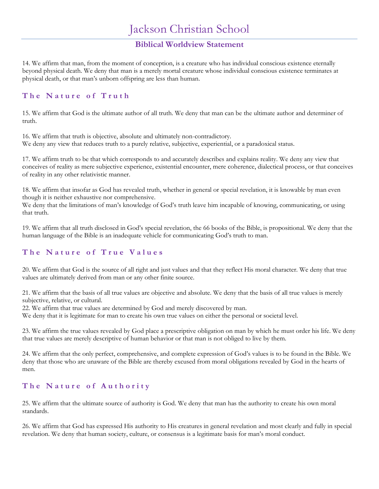### **Biblical Worldview Statement**

14. We affirm that man, from the moment of conception, is a creature who has individual conscious existence eternally beyond physical death. We deny that man is a merely mortal creature whose individual conscious existence terminates at physical death, or that man's unborn offspring are less than human.

### **T h e N a t u r e o f T r u t h**

15. We affirm that God is the ultimate author of all truth. We deny that man can be the ultimate author and determiner of truth.

16. We affirm that truth is objective, absolute and ultimately non-contradictory. We deny any view that reduces truth to a purely relative, subjective, experiential, or a paradoxical status.

17. We affirm truth to be that which corresponds to and accurately describes and explains reality. We deny any view that conceives of reality as mere subjective experience, existential encounter, mere coherence, dialectical process, or that conceives of reality in any other relativistic manner.

18. We affirm that insofar as God has revealed truth, whether in general or special revelation, it is knowable by man even though it is neither exhaustive nor comprehensive.

We deny that the limitations of man's knowledge of God's truth leave him incapable of knowing, communicating, or using that truth.

19. We affirm that all truth disclosed in God's special revelation, the 66 books of the Bible, is propositional. We deny that the human language of the Bible is an inadequate vehicle for communicating God's truth to man.

### **T h e N a t u r e o f T r u e V a l u e s**

20. We affirm that God is the source of all right and just values and that they reflect His moral character. We deny that true values are ultimately derived from man or any other finite source.

21. We affirm that the basis of all true values are objective and absolute. We deny that the basis of all true values is merely subjective, relative, or cultural.

22. We affirm that true values are determined by God and merely discovered by man.

We deny that it is legitimate for man to create his own true values on either the personal or societal level.

23. We affirm the true values revealed by God place a prescriptive obligation on man by which he must order his life. We deny that true values are merely descriptive of human behavior or that man is not obliged to live by them.

24. We affirm that the only perfect, comprehensive, and complete expression of God's values is to be found in the Bible. We deny that those who are unaware of the Bible are thereby excused from moral obligations revealed by God in the hearts of men.

## **T h e N a t u r e o f A u t h o r i t y**

25. We affirm that the ultimate source of authority is God. We deny that man has the authority to create his own moral standards.

26. We affirm that God has expressed His authority to His creatures in general revelation and most clearly and fully in special revelation. We deny that human society, culture, or consensus is a legitimate basis for man's moral conduct.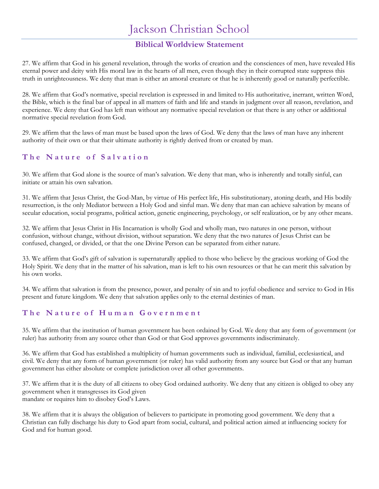# Jackson Christian School

## **Biblical Worldview Statement**

27. We affirm that God in his general revelation, through the works of creation and the consciences of men, have revealed His eternal power and deity with His moral law in the hearts of all men, even though they in their corrupted state suppress this truth in unrighteousness. We deny that man is either an amoral creature or that he is inherently good or naturally perfectible.

28. We affirm that God's normative, special revelation is expressed in and limited to His authoritative, inerrant, written Word, the Bible, which is the final bar of appeal in all matters of faith and life and stands in judgment over all reason, revelation, and experience. We deny that God has left man without any normative special revelation or that there is any other or additional normative special revelation from God.

29. We affirm that the laws of man must be based upon the laws of God. We deny that the laws of man have any inherent authority of their own or that their ultimate authority is rightly derived from or created by man.

### **T h e N a t u r e o f S a l v a t i o n**

30. We affirm that God alone is the source of man's salvation. We deny that man, who is inherently and totally sinful, can initiate or attain his own salvation.

31. We affirm that Jesus Christ, the God-Man, by virtue of His perfect life, His substitutionary, atoning death, and His bodily resurrection, is the only Mediator between a Holy God and sinful man. We deny that man can achieve salvation by means of secular education, social programs, political action, genetic engineering, psychology, or self realization, or by any other means.

32. We affirm that Jesus Christ in His Incarnation is wholly God and wholly man, two natures in one person, without confusion, without change, without division, without separation. We deny that the two natures of Jesus Christ can be confused, changed, or divided, or that the one Divine Person can be separated from either nature.

33. We affirm that God's gift of salvation is supernaturally applied to those who believe by the gracious working of God the Holy Spirit. We deny that in the matter of his salvation, man is left to his own resources or that he can merit this salvation by his own works.

34. We affirm that salvation is from the presence, power, and penalty of sin and to joyful obedience and service to God in His present and future kingdom. We deny that salvation applies only to the eternal destinies of man.

### **T h e N a t u r e o f H u m a n G o v e r n m e n t**

35. We affirm that the institution of human government has been ordained by God. We deny that any form of government (or ruler) has authority from any source other than God or that God approves governments indiscriminately.

36. We affirm that God has established a multiplicity of human governments such as individual, familial, ecclesiastical, and civil. We deny that any form of human government (or ruler) has valid authority from any source but God or that any human government has either absolute or complete jurisdiction over all other governments.

37. We affirm that it is the duty of all citizens to obey God ordained authority. We deny that any citizen is obliged to obey any government when it transgresses its God given mandate or requires him to disobey God's Laws.

38. We affirm that it is always the obligation of believers to participate in promoting good government. We deny that a Christian can fully discharge his duty to God apart from social, cultural, and political action aimed at influencing society for God and for human good.